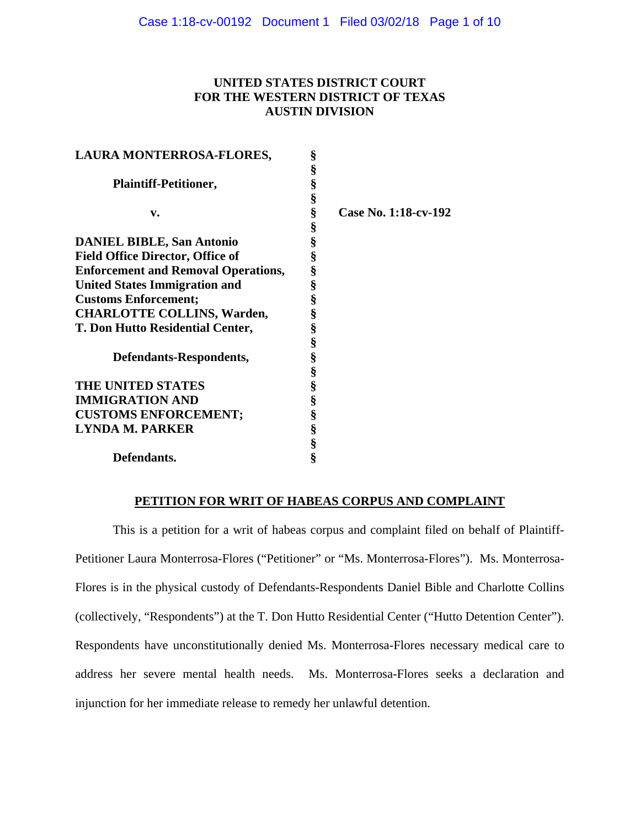# **UNITED STATES DISTRICT COURT FOR THE WESTERN DISTRICT OF TEXAS AUSTIN DIVISION**

| LAURA MONTERROSA-FLORES,                   | §    |                      |
|--------------------------------------------|------|----------------------|
|                                            | §    |                      |
| <b>Plaintiff-Petitioner,</b>               | §    |                      |
|                                            | §    |                      |
| v.                                         | §    | Case No. 1:18-cv-192 |
|                                            | §    |                      |
| <b>DANIEL BIBLE, San Antonio</b>           | §    |                      |
| <b>Field Office Director, Office of</b>    | §    |                      |
| <b>Enforcement and Removal Operations,</b> | §    |                      |
| <b>United States Immigration and</b>       | §    |                      |
| <b>Customs Enforcement;</b>                | §    |                      |
| <b>CHARLOTTE COLLINS, Warden,</b>          | $\S$ |                      |
| T. Don Hutto Residential Center,           | §    |                      |
|                                            | §    |                      |
| Defendants-Respondents,                    | §    |                      |
|                                            | §    |                      |
| THE UNITED STATES                          | §    |                      |
| <b>IMMIGRATION AND</b>                     | §    |                      |
| <b>CUSTOMS ENFORCEMENT;</b>                | §    |                      |
| <b>LYNDA M. PARKER</b>                     | §    |                      |
|                                            | §    |                      |
| Defendants.                                | ş    |                      |

## **PETITION FOR WRIT OF HABEAS CORPUS AND COMPLAINT**

This is a petition for a writ of habeas corpus and complaint filed on behalf of Plaintiff-Petitioner Laura Monterrosa-Flores ("Petitioner" or "Ms. Monterrosa-Flores"). Ms. Monterrosa-Flores is in the physical custody of Defendants-Respondents Daniel Bible and Charlotte Collins (collectively, "Respondents") at the T. Don Hutto Residential Center ("Hutto Detention Center"). Respondents have unconstitutionally denied Ms. Monterrosa-Flores necessary medical care to address her severe mental health needs. Ms. Monterrosa-Flores seeks a declaration and injunction for her immediate release to remedy her unlawful detention.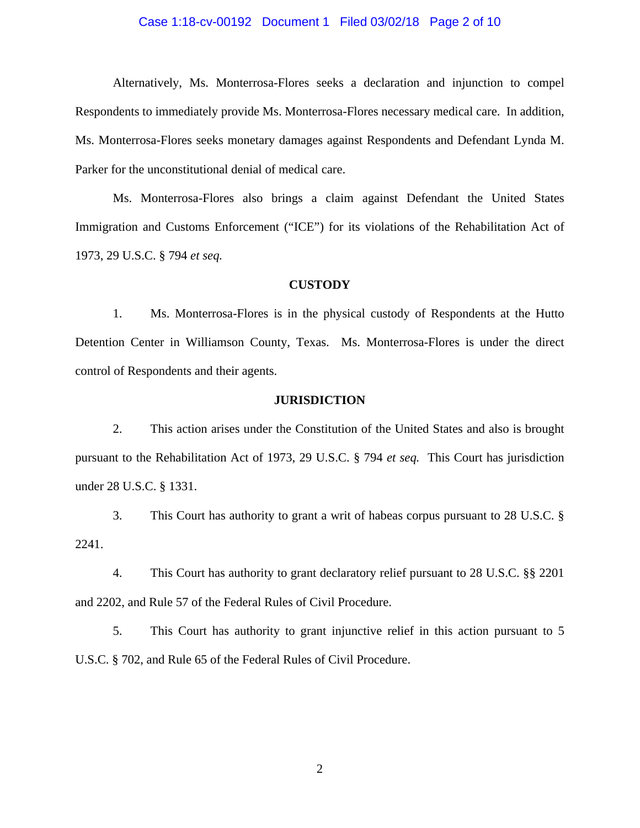## Case 1:18-cv-00192 Document 1 Filed 03/02/18 Page 2 of 10

Alternatively, Ms. Monterrosa-Flores seeks a declaration and injunction to compel Respondents to immediately provide Ms. Monterrosa-Flores necessary medical care. In addition, Ms. Monterrosa-Flores seeks monetary damages against Respondents and Defendant Lynda M. Parker for the unconstitutional denial of medical care.

Ms. Monterrosa-Flores also brings a claim against Defendant the United States Immigration and Customs Enforcement ("ICE") for its violations of the Rehabilitation Act of 1973, 29 U.S.C. § 794 *et seq.*

## **CUSTODY**

1. Ms. Monterrosa-Flores is in the physical custody of Respondents at the Hutto Detention Center in Williamson County, Texas. Ms. Monterrosa-Flores is under the direct control of Respondents and their agents.

### **JURISDICTION**

2. This action arises under the Constitution of the United States and also is brought pursuant to the Rehabilitation Act of 1973, 29 U.S.C. § 794 *et seq.* This Court has jurisdiction under 28 U.S.C. § 1331.

3. This Court has authority to grant a writ of habeas corpus pursuant to 28 U.S.C. § 2241.

4. This Court has authority to grant declaratory relief pursuant to 28 U.S.C. §§ 2201 and 2202, and Rule 57 of the Federal Rules of Civil Procedure.

5. This Court has authority to grant injunctive relief in this action pursuant to 5 U.S.C. § 702, and Rule 65 of the Federal Rules of Civil Procedure.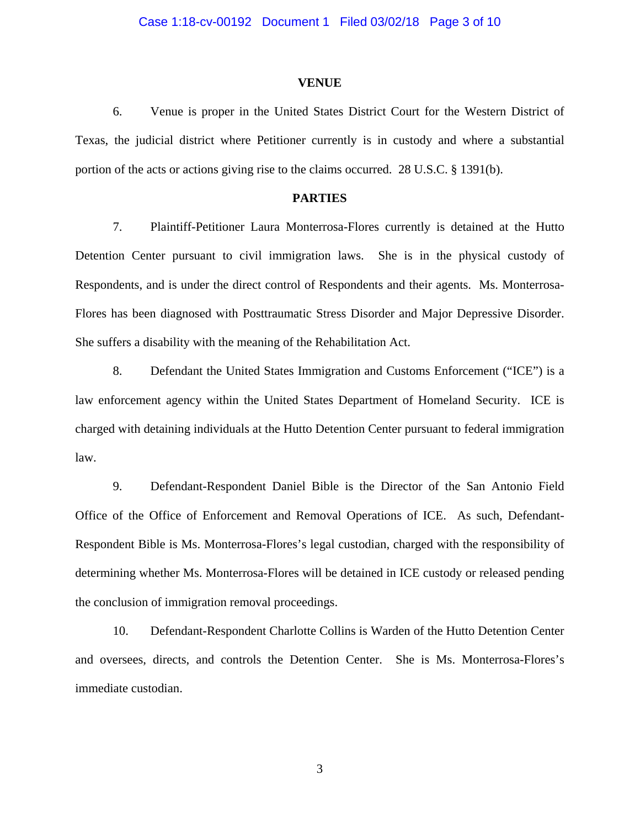#### **VENUE**

6. Venue is proper in the United States District Court for the Western District of Texas, the judicial district where Petitioner currently is in custody and where a substantial portion of the acts or actions giving rise to the claims occurred. 28 U.S.C. § 1391(b).

## **PARTIES**

7. Plaintiff-Petitioner Laura Monterrosa-Flores currently is detained at the Hutto Detention Center pursuant to civil immigration laws. She is in the physical custody of Respondents, and is under the direct control of Respondents and their agents. Ms. Monterrosa-Flores has been diagnosed with Posttraumatic Stress Disorder and Major Depressive Disorder. She suffers a disability with the meaning of the Rehabilitation Act.

8. Defendant the United States Immigration and Customs Enforcement ("ICE") is a law enforcement agency within the United States Department of Homeland Security. ICE is charged with detaining individuals at the Hutto Detention Center pursuant to federal immigration law.

9. Defendant-Respondent Daniel Bible is the Director of the San Antonio Field Office of the Office of Enforcement and Removal Operations of ICE. As such, Defendant-Respondent Bible is Ms. Monterrosa-Flores's legal custodian, charged with the responsibility of determining whether Ms. Monterrosa-Flores will be detained in ICE custody or released pending the conclusion of immigration removal proceedings.

10. Defendant-Respondent Charlotte Collins is Warden of the Hutto Detention Center and oversees, directs, and controls the Detention Center. She is Ms. Monterrosa-Flores's immediate custodian.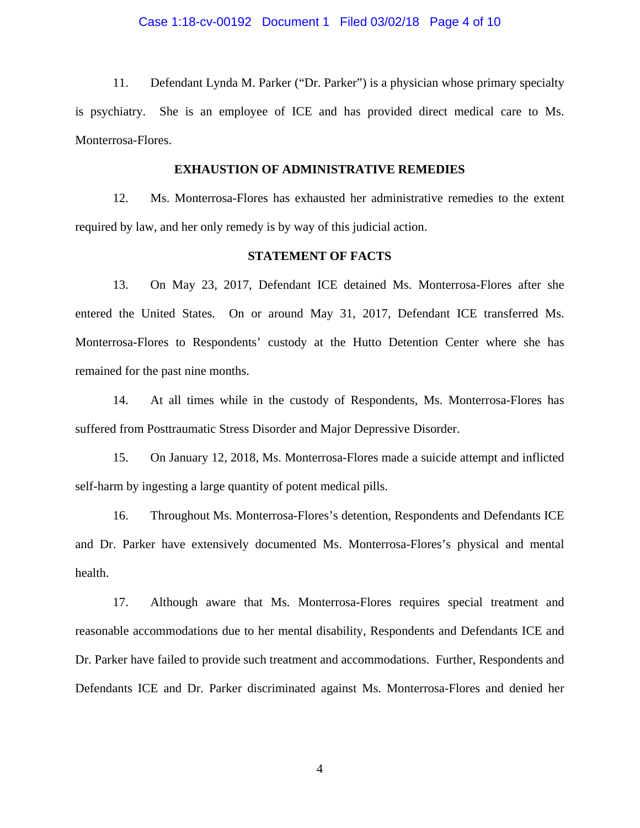## Case 1:18-cv-00192 Document 1 Filed 03/02/18 Page 4 of 10

11. Defendant Lynda M. Parker ("Dr. Parker") is a physician whose primary specialty is psychiatry. She is an employee of ICE and has provided direct medical care to Ms. Monterrosa-Flores.

### **EXHAUSTION OF ADMINISTRATIVE REMEDIES**

12. Ms. Monterrosa-Flores has exhausted her administrative remedies to the extent required by law, and her only remedy is by way of this judicial action.

## **STATEMENT OF FACTS**

13. On May 23, 2017, Defendant ICE detained Ms. Monterrosa-Flores after she entered the United States. On or around May 31, 2017, Defendant ICE transferred Ms. Monterrosa-Flores to Respondents' custody at the Hutto Detention Center where she has remained for the past nine months.

14. At all times while in the custody of Respondents, Ms. Monterrosa-Flores has suffered from Posttraumatic Stress Disorder and Major Depressive Disorder.

15. On January 12, 2018, Ms. Monterrosa-Flores made a suicide attempt and inflicted self-harm by ingesting a large quantity of potent medical pills.

16. Throughout Ms. Monterrosa-Flores's detention, Respondents and Defendants ICE and Dr. Parker have extensively documented Ms. Monterrosa-Flores's physical and mental health.

17. Although aware that Ms. Monterrosa-Flores requires special treatment and reasonable accommodations due to her mental disability, Respondents and Defendants ICE and Dr. Parker have failed to provide such treatment and accommodations. Further, Respondents and Defendants ICE and Dr. Parker discriminated against Ms. Monterrosa-Flores and denied her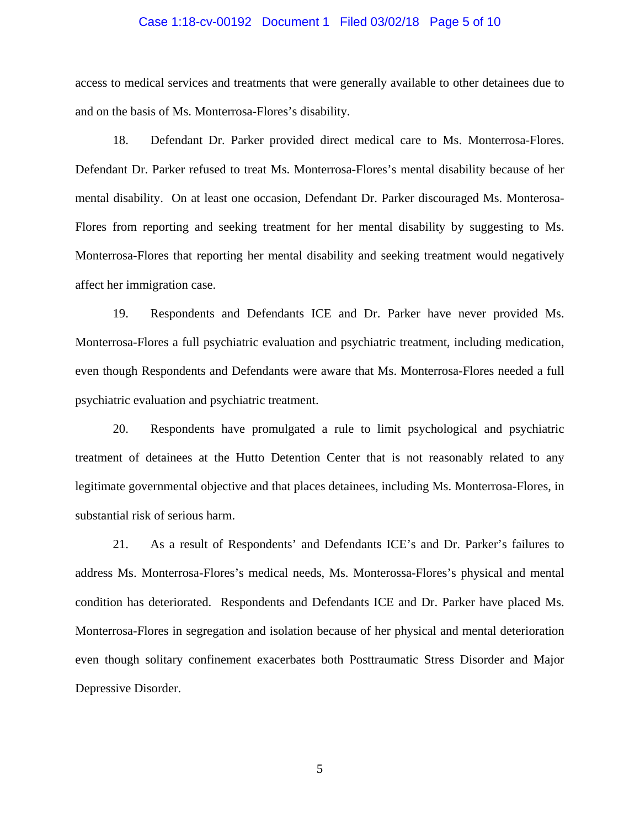## Case 1:18-cv-00192 Document 1 Filed 03/02/18 Page 5 of 10

access to medical services and treatments that were generally available to other detainees due to and on the basis of Ms. Monterrosa-Flores's disability.

18. Defendant Dr. Parker provided direct medical care to Ms. Monterrosa-Flores. Defendant Dr. Parker refused to treat Ms. Monterrosa-Flores's mental disability because of her mental disability. On at least one occasion, Defendant Dr. Parker discouraged Ms. Monterosa-Flores from reporting and seeking treatment for her mental disability by suggesting to Ms. Monterrosa-Flores that reporting her mental disability and seeking treatment would negatively affect her immigration case.

19. Respondents and Defendants ICE and Dr. Parker have never provided Ms. Monterrosa-Flores a full psychiatric evaluation and psychiatric treatment, including medication, even though Respondents and Defendants were aware that Ms. Monterrosa-Flores needed a full psychiatric evaluation and psychiatric treatment.

20. Respondents have promulgated a rule to limit psychological and psychiatric treatment of detainees at the Hutto Detention Center that is not reasonably related to any legitimate governmental objective and that places detainees, including Ms. Monterrosa-Flores, in substantial risk of serious harm.

21. As a result of Respondents' and Defendants ICE's and Dr. Parker's failures to address Ms. Monterrosa-Flores's medical needs, Ms. Monterossa-Flores's physical and mental condition has deteriorated. Respondents and Defendants ICE and Dr. Parker have placed Ms. Monterrosa-Flores in segregation and isolation because of her physical and mental deterioration even though solitary confinement exacerbates both Posttraumatic Stress Disorder and Major Depressive Disorder.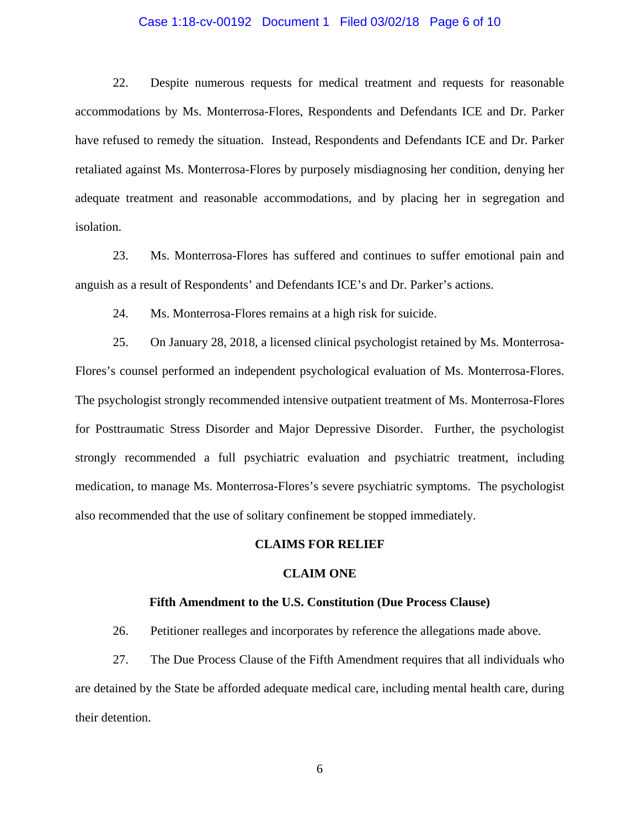## Case 1:18-cv-00192 Document 1 Filed 03/02/18 Page 6 of 10

22. Despite numerous requests for medical treatment and requests for reasonable accommodations by Ms. Monterrosa-Flores, Respondents and Defendants ICE and Dr. Parker have refused to remedy the situation. Instead, Respondents and Defendants ICE and Dr. Parker retaliated against Ms. Monterrosa-Flores by purposely misdiagnosing her condition, denying her adequate treatment and reasonable accommodations, and by placing her in segregation and isolation.

23. Ms. Monterrosa-Flores has suffered and continues to suffer emotional pain and anguish as a result of Respondents' and Defendants ICE's and Dr. Parker's actions.

24. Ms. Monterrosa-Flores remains at a high risk for suicide.

25. On January 28, 2018, a licensed clinical psychologist retained by Ms. Monterrosa-Flores's counsel performed an independent psychological evaluation of Ms. Monterrosa-Flores. The psychologist strongly recommended intensive outpatient treatment of Ms. Monterrosa-Flores for Posttraumatic Stress Disorder and Major Depressive Disorder. Further, the psychologist strongly recommended a full psychiatric evaluation and psychiatric treatment, including medication, to manage Ms. Monterrosa-Flores's severe psychiatric symptoms. The psychologist also recommended that the use of solitary confinement be stopped immediately.

#### **CLAIMS FOR RELIEF**

#### **CLAIM ONE**

#### **Fifth Amendment to the U.S. Constitution (Due Process Clause)**

26. Petitioner realleges and incorporates by reference the allegations made above.

27. The Due Process Clause of the Fifth Amendment requires that all individuals who are detained by the State be afforded adequate medical care, including mental health care, during their detention.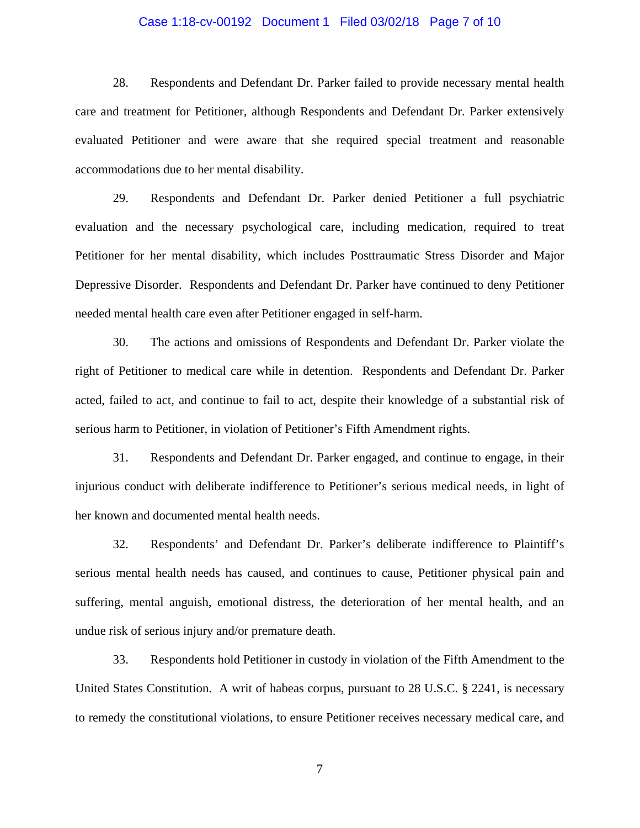## Case 1:18-cv-00192 Document 1 Filed 03/02/18 Page 7 of 10

28. Respondents and Defendant Dr. Parker failed to provide necessary mental health care and treatment for Petitioner, although Respondents and Defendant Dr. Parker extensively evaluated Petitioner and were aware that she required special treatment and reasonable accommodations due to her mental disability.

29. Respondents and Defendant Dr. Parker denied Petitioner a full psychiatric evaluation and the necessary psychological care, including medication, required to treat Petitioner for her mental disability, which includes Posttraumatic Stress Disorder and Major Depressive Disorder. Respondents and Defendant Dr. Parker have continued to deny Petitioner needed mental health care even after Petitioner engaged in self-harm.

30. The actions and omissions of Respondents and Defendant Dr. Parker violate the right of Petitioner to medical care while in detention. Respondents and Defendant Dr. Parker acted, failed to act, and continue to fail to act, despite their knowledge of a substantial risk of serious harm to Petitioner, in violation of Petitioner's Fifth Amendment rights.

31. Respondents and Defendant Dr. Parker engaged, and continue to engage, in their injurious conduct with deliberate indifference to Petitioner's serious medical needs, in light of her known and documented mental health needs.

32. Respondents' and Defendant Dr. Parker's deliberate indifference to Plaintiff's serious mental health needs has caused, and continues to cause, Petitioner physical pain and suffering, mental anguish, emotional distress, the deterioration of her mental health, and an undue risk of serious injury and/or premature death.

33. Respondents hold Petitioner in custody in violation of the Fifth Amendment to the United States Constitution. A writ of habeas corpus, pursuant to 28 U.S.C. § 2241, is necessary to remedy the constitutional violations, to ensure Petitioner receives necessary medical care, and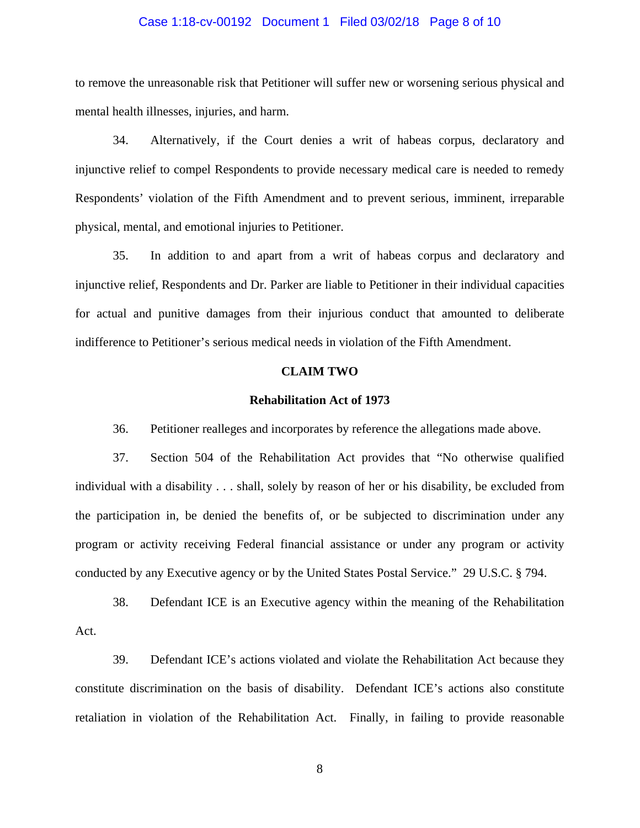## Case 1:18-cv-00192 Document 1 Filed 03/02/18 Page 8 of 10

to remove the unreasonable risk that Petitioner will suffer new or worsening serious physical and mental health illnesses, injuries, and harm.

34. Alternatively, if the Court denies a writ of habeas corpus, declaratory and injunctive relief to compel Respondents to provide necessary medical care is needed to remedy Respondents' violation of the Fifth Amendment and to prevent serious, imminent, irreparable physical, mental, and emotional injuries to Petitioner.

35. In addition to and apart from a writ of habeas corpus and declaratory and injunctive relief, Respondents and Dr. Parker are liable to Petitioner in their individual capacities for actual and punitive damages from their injurious conduct that amounted to deliberate indifference to Petitioner's serious medical needs in violation of the Fifth Amendment.

## **CLAIM TWO**

#### **Rehabilitation Act of 1973**

36. Petitioner realleges and incorporates by reference the allegations made above.

37. Section 504 of the Rehabilitation Act provides that "No otherwise qualified individual with a disability . . . shall, solely by reason of her or his disability, be excluded from the participation in, be denied the benefits of, or be subjected to discrimination under any program or activity receiving Federal financial assistance or under any program or activity conducted by any Executive agency or by the United States Postal Service." 29 U.S.C. § 794.

38. Defendant ICE is an Executive agency within the meaning of the Rehabilitation Act.

39. Defendant ICE's actions violated and violate the Rehabilitation Act because they constitute discrimination on the basis of disability. Defendant ICE's actions also constitute retaliation in violation of the Rehabilitation Act. Finally, in failing to provide reasonable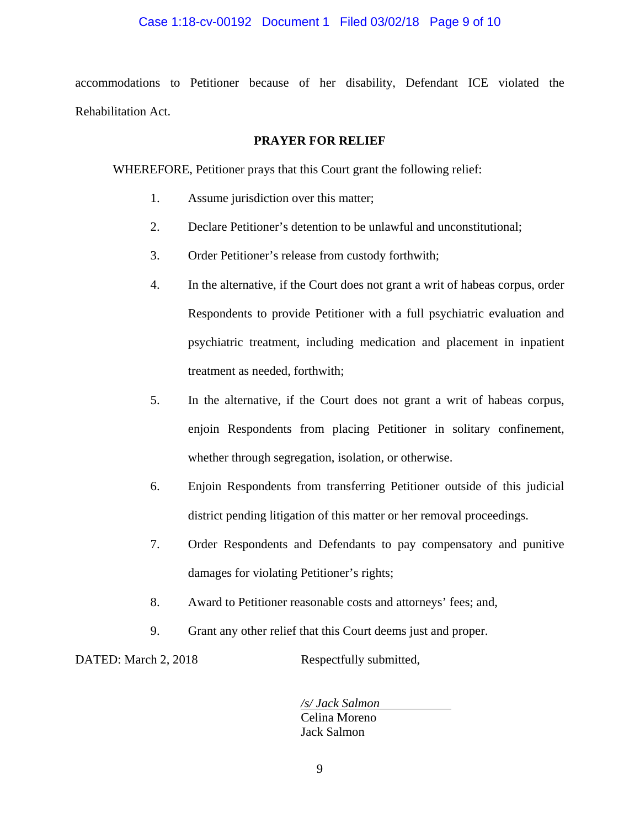## Case 1:18-cv-00192 Document 1 Filed 03/02/18 Page 9 of 10

accommodations to Petitioner because of her disability, Defendant ICE violated the Rehabilitation Act.

## **PRAYER FOR RELIEF**

WHEREFORE, Petitioner prays that this Court grant the following relief:

- 1. Assume jurisdiction over this matter;
- 2. Declare Petitioner's detention to be unlawful and unconstitutional;
- 3. Order Petitioner's release from custody forthwith;
- 4. In the alternative, if the Court does not grant a writ of habeas corpus, order Respondents to provide Petitioner with a full psychiatric evaluation and psychiatric treatment, including medication and placement in inpatient treatment as needed, forthwith;
- 5. In the alternative, if the Court does not grant a writ of habeas corpus, enjoin Respondents from placing Petitioner in solitary confinement, whether through segregation, isolation, or otherwise.
- 6. Enjoin Respondents from transferring Petitioner outside of this judicial district pending litigation of this matter or her removal proceedings.
- 7. Order Respondents and Defendants to pay compensatory and punitive damages for violating Petitioner's rights;
- 8. Award to Petitioner reasonable costs and attorneys' fees; and,
- 9. Grant any other relief that this Court deems just and proper.

DATED: March 2, 2018 Respectfully submitted,

*/s/ Jack Salmon* Celina Moreno Jack Salmon